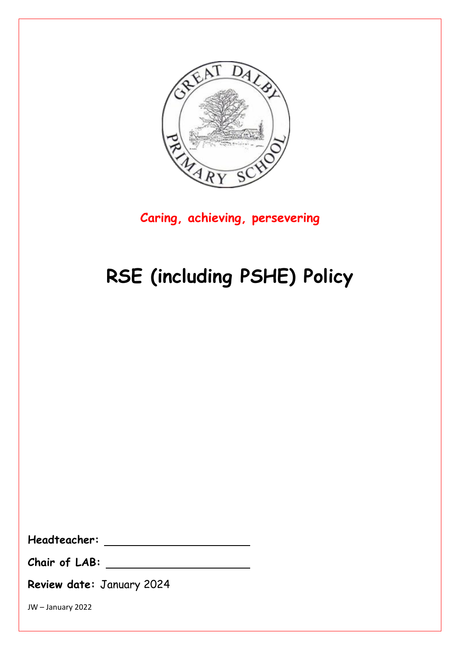

**Caring, achieving, persevering**

# **RSE (including PSHE) Policy**

**Headteacher:**

**Chair of LAB:**

**Review date:** January 2024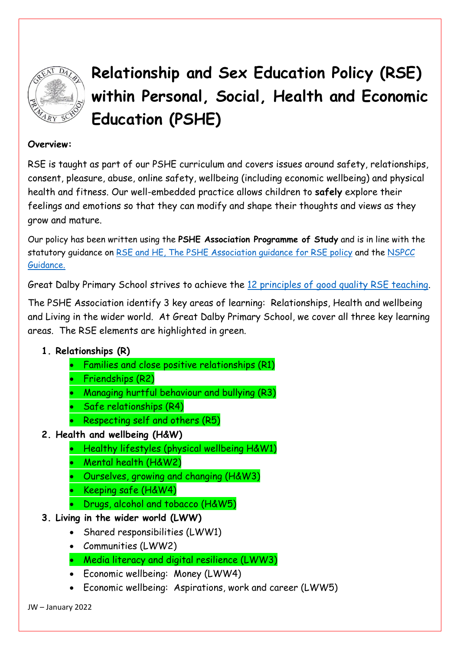

## **Relationship and Sex Education Policy (RSE) within Personal, Social, Health and Economic Education (PSHE)**

#### **Overview:**

RSE is taught as part of our PSHE curriculum and covers issues around safety, relationships, consent, pleasure, abuse, online safety, wellbeing (including economic wellbeing) and physical health and fitness. Our well-embedded practice allows children to **safely** explore their feelings and emotions so that they can modify and shape their thoughts and views as they grow and mature.

Our policy has been written using the **PSHE Association Programme of Study** and is in line with the statutory guidance on [RSE and HE,](https://assets.publishing.service.gov.uk/government/uploads/system/uploads/attachment_data/file/1019542/Relationships_Education__Relationships_and_Sex_Education__RSE__and_Health_Education.pdf) [The PSHE Association guidance for RSE policy](https://www.pshe-association.org.uk/curriculum-and-resources/resources/writing-your-rse-policy-guidance-pshe-association) and the [NSPCC](https://learning.nspcc.org.uk/media/1682/briefing-summary-dfe-guidance-relationships-education-sex-health-education-england.pdf)  [Guidance.](https://learning.nspcc.org.uk/media/1682/briefing-summary-dfe-guidance-relationships-education-sex-health-education-england.pdf)

Great Dalby Primary School strives to achieve the [12 principles of good quality RSE teaching.](https://www.sexeducationforum.org.uk/resources/advice-guidance/principles-good-rse)

The PSHE Association identify 3 key areas of learning: Relationships, Health and wellbeing and Living in the wider world. At Great Dalby Primary School, we cover all three key learning areas. The RSE elements are highlighted in green.

#### **1. Relationships (R)**

- Families and close positive relationships (R1)
- Friendships (R2)
- Managing hurtful behaviour and bullying (R3)
- Safe relationships (R4)
- Respecting self and others (R5)
- **2. Health and wellbeing (H&W)**
	- Healthy lifestyles (physical wellbeing H&W1)
	- Mental health (H&W2)
	- Ourselves, growing and changing (H&W3)
	- Keeping safe (H&W4)
	- Drugs, alcohol and tobacco (H&W5)
- **3. Living in the wider world (LWW)**
	- Shared responsibilities (LWW1)
	- Communities (LWW2)
	- Media literacy and digital resilience (LWW3)
	- Economic wellbeing: Money (LWW4)
	- Economic wellbeing: Aspirations, work and career (LWW5)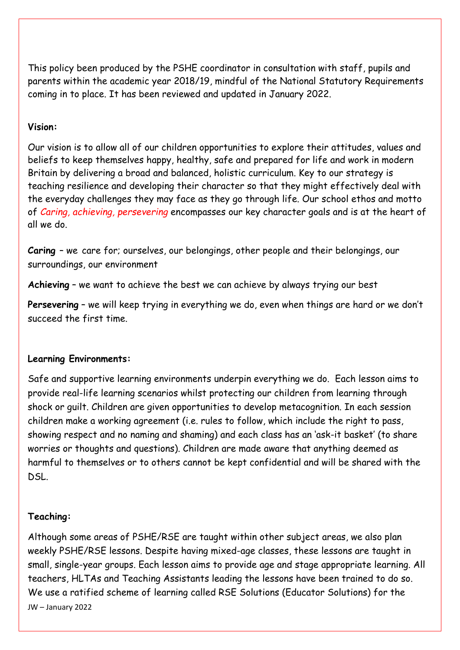This policy been produced by the PSHE coordinator in consultation with staff, pupils and parents within the academic year 2018/19, mindful of the National Statutory Requirements coming in to place. It has been reviewed and updated in January 2022.

#### **Vision:**

Our vision is to allow all of our children opportunities to explore their attitudes, values and beliefs to keep themselves happy, healthy, safe and prepared for life and work in modern Britain by delivering a broad and balanced, holistic curriculum. Key to our strategy is teaching resilience and developing their character so that they might effectively deal with the everyday challenges they may face as they go through life. Our school ethos and motto of *Caring, achieving, persevering* encompasses our key character goals and is at the heart of all we do.

**Caring** – we care for; ourselves, our belongings, other people and their belongings, our surroundings, our environment

**Achieving** – we want to achieve the best we can achieve by always trying our best

**Persevering** – we will keep trying in everything we do, even when things are hard or we don't succeed the first time.

#### **Learning Environments:**

Safe and supportive learning environments underpin everything we do. Each lesson aims to provide real-life learning scenarios whilst protecting our children from learning through shock or guilt. Children are given opportunities to develop metacognition. In each session children make a working agreement (i.e. rules to follow, which include the right to pass, showing respect and no naming and shaming) and each class has an 'ask-it basket' (to share worries or thoughts and questions). Children are made aware that anything deemed as harmful to themselves or to others cannot be kept confidential and will be shared with the DSL.

#### **Teaching:**

JW – January 2022 Although some areas of PSHE/RSE are taught within other subject areas, we also plan weekly PSHE/RSE lessons. Despite having mixed-age classes, these lessons are taught in small, single-year groups. Each lesson aims to provide age and stage appropriate learning. All teachers, HLTAs and Teaching Assistants leading the lessons have been trained to do so. We use a ratified scheme of learning called RSE Solutions (Educator Solutions) for the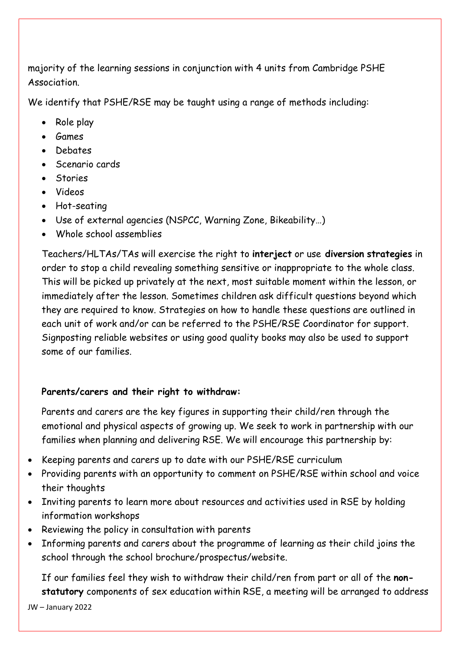majority of the learning sessions in conjunction with 4 units from Cambridge PSHE Association.

We identify that PSHE/RSE may be taught using a range of methods including:

- Role play
- Games
- Debates
- Scenario cards
- Stories
- Videos
- Hot-seating
- Use of external agencies (NSPCC, Warning Zone, Bikeability…)
- Whole school assemblies

Teachers/HLTAs/TAs will exercise the right to **interject** or use **diversion strategies** in order to stop a child revealing something sensitive or inappropriate to the whole class. This will be picked up privately at the next, most suitable moment within the lesson, or immediately after the lesson. Sometimes children ask difficult questions beyond which they are required to know. Strategies on how to handle these questions are outlined in each unit of work and/or can be referred to the PSHE/RSE Coordinator for support. Signposting reliable websites or using good quality books may also be used to support some of our families.

#### **Parents/carers and their right to withdraw:**

Parents and carers are the key figures in supporting their child/ren through the emotional and physical aspects of growing up. We seek to work in partnership with our families when planning and delivering RSE. We will encourage this partnership by:

- Keeping parents and carers up to date with our PSHE/RSE curriculum
- Providing parents with an opportunity to comment on PSHE/RSE within school and voice their thoughts
- Inviting parents to learn more about resources and activities used in RSE by holding information workshops
- Reviewing the policy in consultation with parents
- Informing parents and carers about the programme of learning as their child joins the school through the school brochure/prospectus/website.

If our families feel they wish to withdraw their child/ren from part or all of the **nonstatutory** components of sex education within RSE, a meeting will be arranged to address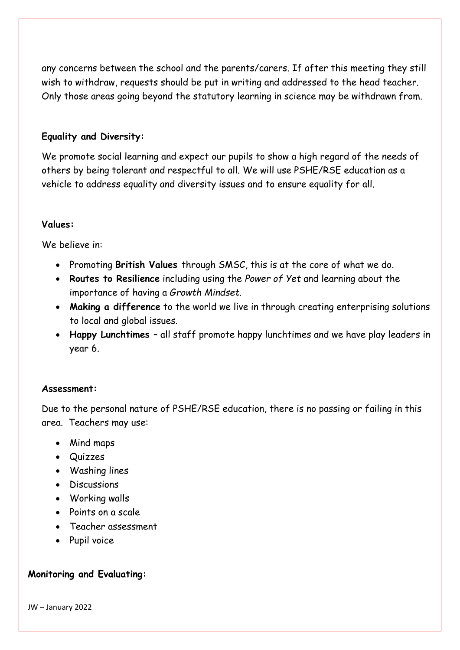any concerns between the school and the parents/carers. If after this meeting they still wish to withdraw, requests should be put in writing and addressed to the head teacher. Only those areas going beyond the statutory learning in science may be withdrawn from.

#### **Equality and Diversity:**

We promote social learning and expect our pupils to show a high regard of the needs of others by being tolerant and respectful to all. We will use PSHE/RSE education as a vehicle to address equality and diversity issues and to ensure equality for all.

#### **Values:**

We believe in:

- Promoting **British Values** through SMSC, this is at the core of what we do.
- **Routes to Resilience** including using the *Power of Yet* and learning about the importance of having a *Growth Mindset.*
- **Making a difference** to the world we live in through creating enterprising solutions to local and global issues.
- **Happy Lunchtimes**  all staff promote happy lunchtimes and we have play leaders in year 6.

#### **Assessment:**

Due to the personal nature of PSHE/RSE education, there is no passing or failing in this area. Teachers may use:

- Mind maps
- Quizzes
- Washing lines
- Discussions
- Working walls
- Points on a scale
- Teacher assessment
- Pupil voice

#### **Monitoring and Evaluating:**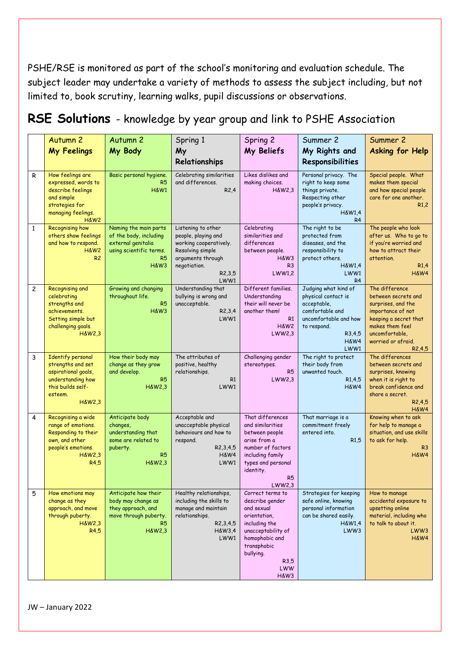PSHE/RSE is monitored as part of the school's monitoring and evaluation schedule. The subject leader may undertake a variety of methods to assess the subject including, but not limited to, book scrutiny, learning walks, pupil discussions or observations.

|              | Autumn <sub>2</sub>                                                                                                                    | Autumn <sub>2</sub>                                                                                                        | Spring 1                                                                                                                                       | Spring 2                                                                                                                                                                       | Summer 2                                                                                                                                                     | Summer 2                                                                                                                                                                                    |
|--------------|----------------------------------------------------------------------------------------------------------------------------------------|----------------------------------------------------------------------------------------------------------------------------|------------------------------------------------------------------------------------------------------------------------------------------------|--------------------------------------------------------------------------------------------------------------------------------------------------------------------------------|--------------------------------------------------------------------------------------------------------------------------------------------------------------|---------------------------------------------------------------------------------------------------------------------------------------------------------------------------------------------|
|              | <b>My Feelings</b>                                                                                                                     | My Body                                                                                                                    | My                                                                                                                                             | My Beliefs                                                                                                                                                                     | My Rights and                                                                                                                                                | <b>Asking for Help</b>                                                                                                                                                                      |
|              |                                                                                                                                        |                                                                                                                            | Relationships                                                                                                                                  |                                                                                                                                                                                | Responsibilities                                                                                                                                             |                                                                                                                                                                                             |
| R            | How feelings are<br>expressed, words to<br>describe feelings<br>and simple<br>strategies for<br>managing feelings.<br>H&W <sub>2</sub> | Basic personal hygiene.<br>R5<br><b>H&amp;W1</b>                                                                           | Celebrating similarities<br>and differences.<br>R2,4                                                                                           | Likes dislikes and<br>making choices.<br>$H\&W2,3$                                                                                                                             | Personal privacy. The<br>right to keep some<br>things private.<br>Respecting other<br>people's privacy.<br>H&W1,4<br>R <sub>4</sub>                          | Special people. What<br>makes them special<br>and how special people<br>care for one another.<br>R1,2                                                                                       |
| $\mathbf{1}$ | <b>Recognising how</b><br>others show feelings<br>and how to respond.<br>H&W <sub>2</sub><br>R <sub>2</sub>                            | Naming the main parts<br>of the body, including<br>external genitalia<br>using scientific terms.<br>R <sub>5</sub><br>H&W3 | Listening to other<br>people, playing and<br>working cooperatively.<br>Resolving simple<br>arguments through<br>negotiation.<br>R2,3,5<br>LWW1 | Celebrating<br>similarities and<br>differences<br>between people.<br>H&W <sub>3</sub><br>R <sub>3</sub><br>LWW1,2                                                              | The right to be<br>protected from<br>diseases, and the<br>responsibility to<br>protect others.<br>$H\&W1,4$<br>LWW1<br>R <sub>4</sub>                        | The people who look<br>after us. Who to go to<br>if you're worried and<br>how to attract their<br>attention.<br>R1,4<br><b>H&amp;W4</b>                                                     |
| 2            | Recognising and<br>celebrating<br>strengths and<br>achievements.<br>Setting simple but<br>challenging goals.<br>H&W2,3                 | Growing and changing<br>throughout life.<br>R <sub>5</sub><br>H&W3                                                         | Understanding that<br>bullying is wrong and<br>unacceptable.<br>R <sub>2</sub> ,3,4<br>LWW1                                                    | Different families.<br>Understanding<br>their will never be<br>another them!<br>R1<br>H&W <sub>2</sub><br>LWW2,3                                                               | Judging what kind of<br>physical contact is<br>acceptable,<br>comfortable and<br>uncomfortable and how<br>to respond.<br>R <sub>3</sub> ,4,5<br>H&W4<br>LWW1 | The difference<br>between secrets and<br>surprises, and the<br>importance of not<br>keeping a secret that<br>makes them feel<br>uncomfortable.<br>worried or afraid.<br>R <sub>2</sub> ,4,5 |
| 3            | <b>Identify personal</b><br>strengths and set<br>aspirational goals,<br>understanding how<br>this builds self-<br>esteem.<br>H&W2,3    | How their body may<br>change as they grow<br>and develop.<br>R <sub>5</sub><br>$H\&W2.3$                                   | The attributes of<br>positive, healthy<br>relationships.<br>R1<br>LWW1                                                                         | Challenging gender<br>stereotypes.<br>R <sub>5</sub><br>LWW2,3                                                                                                                 | The right to protect<br>their body from<br>unwanted touch.<br>R1,4,5<br><b>H&amp;W4</b>                                                                      | The differences<br>between secrets and<br>surprises, knowing<br>when it is right to<br>break confidence and<br>share a secret.<br>R2,4,5<br>H&W4                                            |
| 4            | Recognising a wide<br>range of emotions.<br>Responding to their<br>own, and other<br>people's emotions.<br><b>H&amp;W2,3</b><br>R4,5   | Anticipate body<br>changes,<br>understanding that<br>some are related to<br>puberty.<br>R5<br>$H\&W2,3$                    | Acceptable and<br>unacceptable physical<br>behaviours and how to<br>respond.<br>R <sub>2</sub> , 3, 4, 5<br>H&W4<br>LWW1                       | That differences<br>and similarities<br>between people<br>arise from a<br>number of factors<br>including family<br>types and personal<br>identity.<br>R <sub>5</sub><br>LWW2,3 | That marriage is a<br>commitment freely<br>entered into.<br>R1,5                                                                                             | Knowing when to ask<br>for help to manage a<br>situation, and use skills<br>to ask for help.<br>R <sub>3</sub><br><b>H&amp;W4</b>                                                           |
| 5            | How emotions may<br>change as they<br>approach, and move<br>through puberty.<br>H&W2,3<br>R4,5                                         | Anticipate how their<br>body may change as<br>they approach, and<br>move through puberty.<br>R5<br>H&W2,3                  | Healthy relationships,<br>including the skills to<br>manage and maintain<br>relationships.<br>R <sub>2</sub> , 3, 4, 5<br>H&W3,4<br>LWW1       | Correct terms to<br>describe gender<br>and sexual<br>orientation,<br>including the<br>unacceptability of<br>homophobic and<br>transphobic<br>bullying.<br>R3,5<br>LWW<br>H&W3  | Strategies for keeping<br>safe online, knowing<br>personal information<br>can be shared easily.<br>H&W1.4<br>LWW3                                            | How to manage<br>accidental exposure to<br>upsetting online<br>material, including who<br>to talk to about it.<br>LWW3<br>H&W4                                                              |

### **RSE Solutions** - knowledge by year group and link to PSHE Association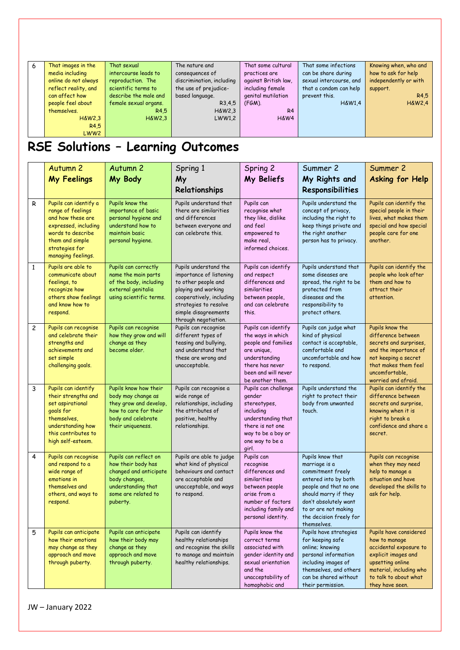| 6 | That images in the   | That sexual           | The nature and            | That some cultural   | That some infections    | Knowing when, who and |
|---|----------------------|-----------------------|---------------------------|----------------------|-------------------------|-----------------------|
|   | media including      | intercourse leads to  | consequences of           | practices are        | can be share during     | how to ask for help   |
|   | online do not always | reproduction. The     | discrimination, including | against British law, | sexual intercourse, and | independently or with |
|   | reflect reality, and | scientific terms to   | the use of prejudice-     | including female     | that a condom can help  | support.              |
|   | can affect how       | describe the male and | based language.           | genital mutilation   | prevent this.           | R4.5                  |
|   | people feel about    | female sexual organs. | R <sub>3</sub> ,4,5       | $(FGM)$ .            | $H\&W1.4$               | <b>H&amp;W2.4</b>     |
|   | themselves.          | R4.5                  | $H\&W2,3$                 | R <sub>4</sub>       |                         |                       |
|   | $H\&W2.3$            | $H\&W2.3$             | LWW1,2                    | H&W4                 |                         |                       |
|   | R4.5                 |                       |                           |                      |                         |                       |
|   | LWW <sub>2</sub>     |                       |                           |                      |                         |                       |

## **RSE Solutions – Learning Outcomes**

|                | Autumn <sub>2</sub><br><b>My Feelings</b>                                                                                                                               | Autumn <sub>2</sub><br>My Body                                                                                                                  | Spring 1<br>My<br>Relationships                                                                                                                                                                     | Spring 2<br>My Beliefs                                                                                                                                          | Summer 2<br>My Rights and<br>Responsibilities                                                                                                                                                                               | Summer 2<br>Asking for Help                                                                                                                                                         |
|----------------|-------------------------------------------------------------------------------------------------------------------------------------------------------------------------|-------------------------------------------------------------------------------------------------------------------------------------------------|-----------------------------------------------------------------------------------------------------------------------------------------------------------------------------------------------------|-----------------------------------------------------------------------------------------------------------------------------------------------------------------|-----------------------------------------------------------------------------------------------------------------------------------------------------------------------------------------------------------------------------|-------------------------------------------------------------------------------------------------------------------------------------------------------------------------------------|
| R              | Pupils can identify a<br>range of feelings<br>and how these are<br>expressed, including<br>words to describe<br>them and simple<br>strategies for<br>managing feelings. | Pupils know the<br>importance of basic<br>personal hygiene and<br>understand how to<br>maintain basic<br>personal hygiene.                      | Pupils understand that<br>there are similarities<br>and differences<br>between everyone and<br>can celebrate this.                                                                                  | Pupils can<br>recognise what<br>they like, dislike<br>and feel<br>empowered to<br>make real.<br>informed choices.                                               | Pupils understand the<br>concept of privacy,<br>including the right to<br>keep things private and<br>the right another<br>person has to privacy.                                                                            | Pupils can identify the<br>special people in their<br>lives, what makes them<br>special and how special<br>people care for one<br>another.                                          |
| $\mathbf{1}$   | Pupils are able to<br>communicate about<br>feelings, to<br>recognize how<br>others show feelings<br>and know how to<br>respond.                                         | Pupils can correctly<br>name the main parts<br>of the body, including<br>external genitalia<br>using scientific terms.                          | Pupils understand the<br>importance of listening<br>to other people and<br>playing and working<br>cooperatively, including<br>strategies to resolve<br>simple disagreements<br>through negotiation. | Pupils can identify<br>and respect<br>differences and<br>similarities<br>between people,<br>and can celebrate<br>this.                                          | Pupils understand that<br>some diseases are<br>spread, the right to be<br>protected from<br>diseases and the<br>responsibility to<br>protect others.                                                                        | Pupils can identify the<br>people who look after<br>them and how to<br>attract their<br>attention.                                                                                  |
| $\overline{c}$ | Pupils can recognise<br>and celebrate their<br>strengths and<br>achievements and<br>set simple<br>challenging goals.                                                    | Pupils can recognise<br>how they grow and will<br>change as they<br>become older.                                                               | Pupils can recognise<br>different types of<br>teasing and bullying,<br>and understand that<br>these are wrong and<br>unacceptable.                                                                  | Pupils can identify<br>the ways in which<br>people and families<br>are unique,<br>understanding<br>there has never<br>been and will never<br>be another them.   | Pupils can judge what<br>kind of physical<br>contact is acceptable,<br>comfortable and<br>uncomfortable and how<br>to respond.                                                                                              | Pupils know the<br>difference between<br>secrets and surprises,<br>and the importance of<br>not keeping a secret<br>that makes them feel<br>uncomfortable,<br>worried and afraid.   |
| 3              | Pupils can identify<br>their strengths and<br>set aspirational<br>goals for<br>themselves,<br>understanding how<br>this contributes to<br>high self-esteem.             | Pupils know how their<br>body may change as<br>they grow and develop,<br>how to care for their<br>body and celebrate<br>their uniqueness.       | Pupils can recognise a<br>wide range of<br>relationships, including<br>the attributes of<br>positive, healthy<br>relationships.                                                                     | Pupils can challenge<br>gender<br>stereotypes,<br>including<br>understanding that<br>there is not one<br>way to be a boy or<br>one way to be a<br>girl.         | Pupils understand the<br>right to protect their<br>body from unwanted<br>touch.                                                                                                                                             | Pupils can identify the<br>difference between<br>secrets and surprise,<br>knowing when it is<br>right to break a<br>confidence and share a<br>secret.                               |
| 4              | Pupils can recognise<br>and respond to a<br>wide range of<br>emotions in<br>themselves and<br>others, and ways to<br>respond.                                           | Pupils can reflect on<br>how their body has<br>changed and anticipate<br>body changes,<br>understanding that<br>some are related to<br>puberty. | Pupils are able to judge<br>what kind of physical<br>behaviours and contact<br>are acceptable and<br>unacceptable, and ways<br>to respond.                                                          | Pupils can<br>recognise<br>differences and<br>similarities<br>between people<br>arise from a<br>number of factors<br>including family and<br>personal identity. | Pupils know that<br>marriage is a<br>commitment freely<br>entered into by both<br>people and that no one<br>should marry if they<br>don't absolutely want<br>to or are not making<br>the decision freely for<br>themselves. | Pupils can recognise<br>when they may need<br>help to manage a<br>situation and have<br>developed the skills to<br>ask for help.                                                    |
| 5              | Pupils can anticipate<br>how their emotions<br>may change as they<br>approach and move<br>through puberty.                                                              | Pupils can anticipate<br>how their body may<br>change as they<br>approach and move<br>through puberty.                                          | Pupils can identify<br>healthy relationships<br>and recognise the skills<br>to manage and maintain<br>healthy relationships.                                                                        | Pupils know the<br>correct terms<br>associated with<br>gender identity and<br>sexual orientation<br>and the<br>unacceptability of<br>homophobic and             | Pupils have strategies<br>for keeping safe<br>online; knowing<br>personal information<br>including images of<br>themselves, and others<br>can be shared without<br>their permission.                                        | Pupils have considered<br>how to manage<br>accidental exposure to<br>explicit images and<br>upsetting online<br>material, including who<br>to talk to about what<br>they have seen. |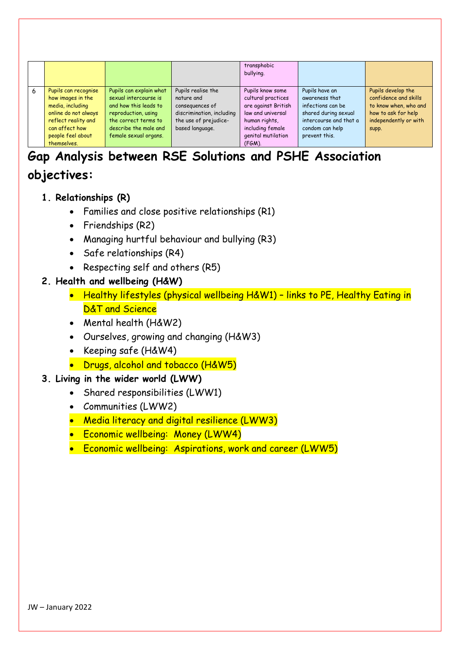|   |                      |                         |                           | transphobic<br>bullying. |                        |                       |
|---|----------------------|-------------------------|---------------------------|--------------------------|------------------------|-----------------------|
| 6 | Pupils can recognise | Pupils can explain what | Pupils realise the        | Pupils know some         | Pupils have an         | Pupils develop the    |
|   | how images in the    | sexual intercourse is   | nature and                | cultural practices       | awareness that         | confidence and skills |
|   | media, including     | and how this leads to   | consequences of           | are against British      | infections can be      | to know when, who and |
|   | online do not always | reproduction, using     | discrimination, including | law and universal        | shared during sexual   | how to ask for help   |
|   | reflect reality and  | the correct terms to    | the use of prejudice-     | human rights,            | intercourse and that a | independently or with |
|   | can affect how       | describe the male and   | based language.           | including female         | condom can help        | supp.                 |
|   | people feel about    | female sexual organs.   |                           | genital mutilation       | prevent this.          |                       |
|   | themselves.          |                         |                           | $(FGM)$ .                |                        |                       |

### **Gap Analysis between RSE Solutions and PSHE Association objectives:**

- **1. Relationships (R)**
	- Families and close positive relationships (R1)
	- Friendships (R2)
	- Managing hurtful behaviour and bullying (R3)
	- Safe relationships (R4)
	- Respecting self and others (R5)

#### **2. Health and wellbeing (H&W)**

- Healthy lifestyles (physical wellbeing H&W1) links to PE, Healthy Eating in D&T and Science
- Mental health (H&W2)
- Ourselves, growing and changing (H&W3)
- Keeping safe (H&W4)
- Drugs, alcohol and tobacco (H&W5)

#### **3. Living in the wider world (LWW)**

- Shared responsibilities (LWW1)
- Communities (LWW2)
- Media literacy and digital resilience (LWW3)
- Economic wellbeing: Money (LWW4)
- Economic wellbeing: Aspirations, work and career (LWW5)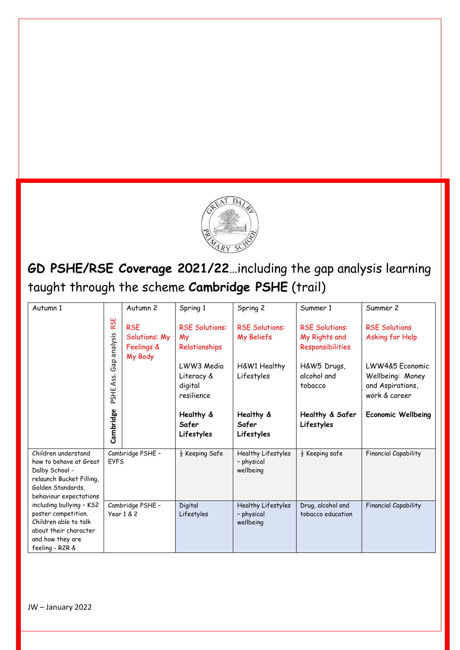

### **GD PSHE/RSE Coverage 2021/22**…including the gap analysis learning taught through the scheme **Cambridge PSHE** (trail)

| Autumn 1                                                                                                                                   |                     | Autumn <sub>2</sub>                                  | Spring 1                                          | Spring 2                                      | Summer 1                                                   | Summer 2                                                                 |
|--------------------------------------------------------------------------------------------------------------------------------------------|---------------------|------------------------------------------------------|---------------------------------------------------|-----------------------------------------------|------------------------------------------------------------|--------------------------------------------------------------------------|
|                                                                                                                                            | RSE<br>analysis     | <b>RSE</b><br>Solutions: My<br>Feelings &<br>My Body | <b>RSE Solutions:</b><br>My<br>Relationships      | <b>RSE Solutions:</b><br>My Beliefs           | <b>RSE Solutions:</b><br>My Rights and<br>Responsibilities | <b>RSE Solutions</b><br>Asking for Help                                  |
|                                                                                                                                            | Gap<br>Ass.<br>PSHE |                                                      | LWW3 Media<br>Literacy &<br>digital<br>resilience | H&W1 Healthy<br>Lifestyles                    | H&W5 Drugs,<br>alcohol and<br>tobacco                      | LWW4&5 Economic<br>Wellbeing: Money<br>and Aspirations,<br>work & career |
|                                                                                                                                            | Cambridge           |                                                      | Healthy &<br>Safer<br>Lifestyles                  | Healthy &<br>Safer<br>Lifestyles              | Healthy & Safer<br>Lifestyles                              | <b>Economic Wellbeing</b>                                                |
| Children understand<br>how to behave at Great<br>Dalby School -<br>relaunch Bucket Filling,<br>Golden Standards,<br>behaviour expectations | <b>FYFS</b>         | Cambridge PSHE -                                     | $\frac{1}{2}$ Keeping Safe                        | Healthy Lifestyles<br>- physical<br>wellbeing | $\frac{1}{2}$ Keeping safe                                 | <b>Financial Capability</b>                                              |
| including bullying - KS2<br>poster competition.<br>Children able to talk<br>about their character<br>and how they are<br>feeling - R2R &   |                     | Cambridge PSHE -<br>Year 1 & 2                       | Digital<br>Lifestyles                             | Healthy Lifestyles<br>- physical<br>wellbeing | Drug, alcohol and<br>tobacco education                     | <b>Financial Capability</b>                                              |